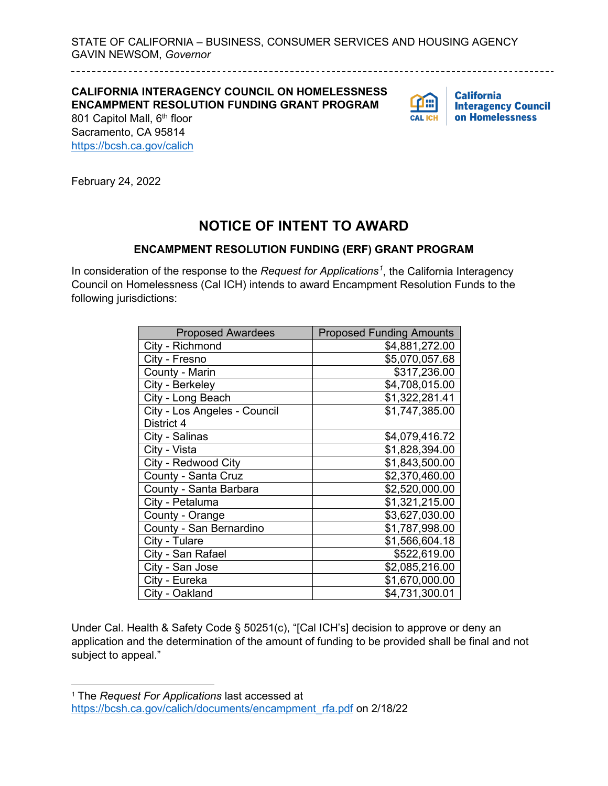STATE OF CALIFORNIA – BUSINESS, CONSUMER SERVICES AND HOUSING AGENCY GAVIN NEWSOM, *Governor*

**CALIFORNIA INTERAGENCY COUNCIL ON HOMELESSNESS ENCAMPMENT RESOLUTION FUNDING GRANT PROGRAM**



**California Interagency Council** on Homelessness

801 Capitol Mall, 6<sup>th</sup> floor Sacramento, CA 95814 <https://bcsh.ca.gov/calich>

February 24, 2022

## **NOTICE OF INTENT TO AWARD**

## **ENCAMPMENT RESOLUTION FUNDING (ERF) GRANT PROGRAM**

In consideration of the response to the *Request for Applications[1](#page-0-0)* , the California Interagency Council on Homelessness (Cal ICH) intends to award Encampment Resolution Funds to the following jurisdictions:

| <b>Proposed Awardees</b>     | <b>Proposed Funding Amounts</b> |
|------------------------------|---------------------------------|
| City - Richmond              | \$4,881,272.00                  |
| City - Fresno                | \$5,070,057.68                  |
| County - Marin               | \$317,236.00                    |
| City - Berkeley              | \$4,708,015.00                  |
| City - Long Beach            | \$1,322,281.41                  |
| City - Los Angeles - Council | \$1,747,385.00                  |
| District 4                   |                                 |
| City - Salinas               | \$4,079,416.72                  |
| City - Vista                 | \$1,828,394.00                  |
| City - Redwood City          | \$1,843,500.00                  |
| County - Santa Cruz          | \$2,370,460.00                  |
| County - Santa Barbara       | \$2,520,000.00                  |
| City - Petaluma              | \$1,321,215.00                  |
| County - Orange              | \$3,627,030.00                  |
| County - San Bernardino      | \$1,787,998.00                  |
| City - Tulare                | \$1,566,604.18                  |
| City - San Rafael            | \$522,619.00                    |
| City - San Jose              | \$2,085,216.00                  |
| City - Eureka                | \$1,670,000.00                  |
| City - Oakland               | \$4,731,300.01                  |

Under Cal. Health & Safety Code § 50251(c), "[Cal ICH's] decision to approve or deny an application and the determination of the amount of funding to be provided shall be final and not subject to appeal."

<span id="page-0-0"></span><sup>1</sup> The *Request For Applications* last accessed at [https://bcsh.ca.gov/calich/documents/encampment\\_rfa.pdf](https://bcsh.ca.gov/calich/documents/encampment_rfa.pdf) on 2/18/22